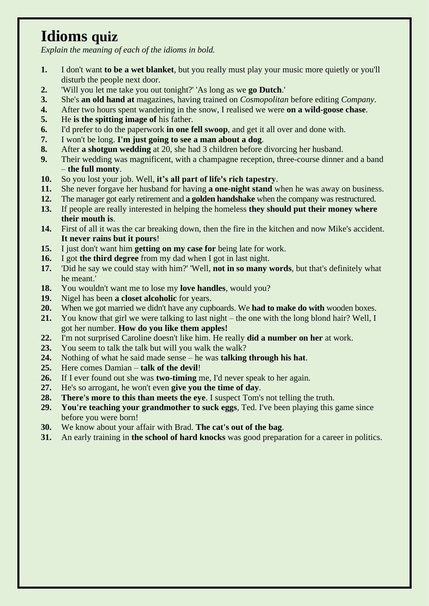# **Idioms quiz**

*Explain the meaning of each of the idioms in bold.*

- **1.** I don't want **to be a wet blanket**, but you really must play your music more quietly or you'll disturb the people next door.
- **2.** 'Will you let me take you out tonight?' 'As long as we **go Dutch**.'
- **3.** She's **an old hand at** magazines, having trained on *Cosmopolitan* before editing *Company*.
- **4.** After two hours spent wandering in the snow, I realised we were **on a wild-goose chase**.
- **5.** He **is the spitting image of** his father.
- **6.** I'd prefer to do the paperwork **in one fell swoop**, and get it all over and done with.
- **7.** I won't be long. **I'm just going to see a man about a dog**.
- **8.** After **a shotgun wedding** at 20, she had 3 children before divorcing her husband.
- **9.** Their wedding was magnificent, with a champagne reception, three-course dinner and a band – **the full monty**.
- **10.** So you lost your job. Well, **it's all part of life's rich tapestry**.
- **11.** She never forgave her husband for having **a one-night stand** when he was away on business.
- **12.** The manager got early retirement and **a golden handshake** when the company was restructured.
- **13.** If people are really interested in helping the homeless **they should put their money where their mouth is**.
- **14.** First of all it was the car breaking down, then the fire in the kitchen and now Mike's accident. **It never rains but it pours**!
- **15.** I just don't want him **getting on my case for** being late for work.
- **16.** I got **the third degree** from my dad when I got in last night.
- **17.** 'Did he say we could stay with him?' 'Well, **not in so many words**, but that's definitely what he meant.'
- **18.** You wouldn't want me to lose my **love handles**, would you?
- **19.** Nigel has been **a closet alcoholic** for years.
- **20.** When we got married we didn't have any cupboards. We **had to make do with** wooden boxes.
- **21.** You know that girl we were talking to last night the one with the long blond hair? Well, I got her number. **How do you like them apples!**
- **22.** I'm not surprised Caroline doesn't like him. He really **did a number on her** at work.
- **23.** You seem to talk the talk but will you walk the walk?
- **24.** Nothing of what he said made sense he was **talking through his hat**.
- **25.** Here comes Damian **talk of the devil**!
- **26.** If I ever found out she was **two-timing** me, I'd never speak to her again.
- **27.** He's so arrogant, he won't even **give you the time of day**.
- **28. There's more to this than meets the eye**. I suspect Tom's not telling the truth.
- **29. You're teaching your grandmother to suck eggs**, Ted. I've been playing this game since before you were born!
- **30.** We know about your affair with Brad. **The cat's out of the bag**.
- **31.** An early training in **the school of hard knocks** was good preparation for a career in politics.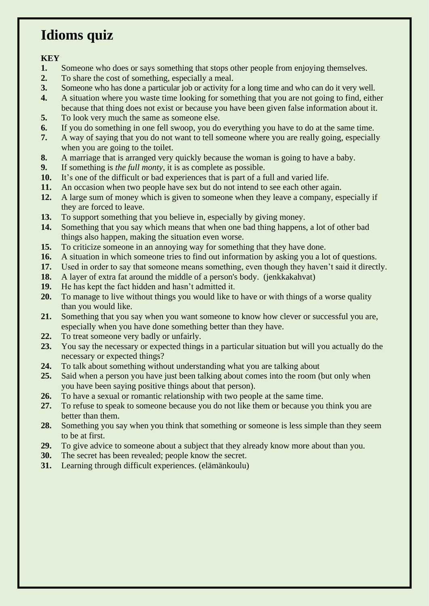### **Idioms quiz**

- **1.** Someone who does or says something that stops other people from enjoying themselves.
- **2.** To share the cost of something, especially a meal.
- **3.** Someone who has done a particular job or activity for a long time and who can do it very well.
- **4.** A situation where you waste time looking for something that you are not going to find, either because that thing does not exist or because you have been given false information about it.
- **5.** To look very much the same as someone else.
- **6.** If you do something in one fell swoop, you do everything you have to do at the same time.
- **7.** A way of saying that you do not want to tell someone where you are really going, especially when you are going to the toilet.
- **8.** A marriage that is arranged very quickly because the woman is going to have a baby.
- **9.** If something is *the full monty*, it is as complete as possible.
- **10.** It's one of the difficult or bad experiences that is part of a full and varied life.
- **11.** An occasion when two people have sex but do not intend to see each other again.
- **12.** A large sum of money which is given to someone when they leave a company, especially if they are forced to leave.
- **13.** To support something that you believe in, especially by giving money.
- **14.** Something that you say which means that when one bad thing happens, a lot of other bad things also happen, making the situation even worse.
- **15.** To criticize someone in an annoying way for something that they have done.
- **16.** A situation in which someone tries to find out information by asking you a lot of questions.
- **17.** Used in order to say that someone means something, even though they haven't said it directly.
- **18.** A layer of extra fat around the middle of a person's body. (jenkkakahvat)
- **19.** He has kept the fact hidden and hasn't admitted it.
- **20.** To manage to live without things you would like to have or with things of a worse quality than you would like.
- **21.** Something that you say when you want someone to know how clever or successful you are, especially when you have done something better than they have.
- **22.** To treat someone very badly or unfairly.
- **23.** You say the necessary or expected things in a particular situation but will you actually do the necessary or expected things?
- **24.** To talk about something without understanding what you are talking about
- **25.** Said when a person you have just been talking about comes into the room (but only when you have been saying positive things about that person).
- **26.** To have a sexual or romantic relationship with two people at the same time.
- **27.** To refuse to speak to someone because you do not like them or because you think you are better than them.
- **28.** Something you say when you think that something or someone is less simple than they seem to be at first.
- **29.** To give advice to someone about a subject that they already know more about than you.
- **30.** The secret has been revealed; people know the secret.
- **31.** Learning through difficult experiences. (elämänkoulu)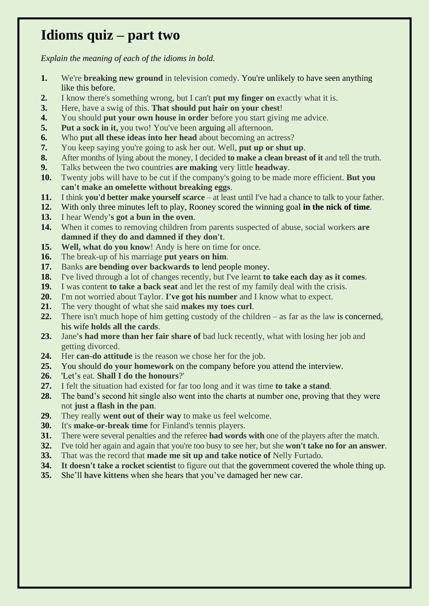### **Idioms quiz – part two**

*Explain the meaning of each of the idioms in bold.* 

- **1.** We're **breaking new ground** in television comedy. You're unlikely to have seen anything like this before.
- **2.** I know there's something wrong, but I can't **put my finger on** exactly what it is.
- **3.** Here, have a swig of this. **That should put hair on your chest**!
- **4.** You should **put your own house in order** before you start giving me advice.
- **5. Put a sock in it,** you two! You've been arguing all afternoon.
- **6.** Who **put all these ideas into her head** about becoming an actress?
- **7.** You keep saying you're going to ask her out. Well, **put up or shut up**.
- **8.** After months of lying about the money, I decided **to make a clean breast of it** and tell the truth.
- **9.** Talks between the two countries **are making** very little **headway**.
- **10.** Twenty jobs will have to be cut if the company's going to be made more efficient. **But you can't make an omelette without breaking eggs**.
- **11.** I think **you'd better make yourself scarce** at least until I've had a chance to talk to your father.
- **12.** With only three minutes left to play, Rooney scored the winning goal **in the nick of time**.
- **13.** I hear Wendy**'s got a bun in the oven**.
- **14.** When it comes to removing children from parents suspected of abuse, social workers **are damned if they do and damned if they don't**.
- **15. Well, what do you know**! Andy is here on time for once.
- **16.** The break-up of his marriage **put years on him**.
- **17.** Banks **are bending over backwards to** lend people money.
- **18.** I've lived through a lot of changes recently, but I've learnt **to take each day as it comes**.
- **19.** I was content **to take a back seat** and let the rest of my family deal with the crisis.
- **20.** I'm not worried about Taylor. **I've got his number** and I know what to expect.
- **21.** The very thought of what she said **makes my toes curl**.
- **22.** There isn't much hope of him getting custody of the children as far as the law is concerned, his wife **holds all the cards**.
- **23.** Jane**'s had more than her fair share of** bad luck recently, what with losing her job and getting divorced.
- **24.** Her **can-do attitude** is the reason we chose her for the job.
- **25.** You should **do your homework** on the company before you attend the interview.
- **26.** 'Let's eat. **Shall I do the honours**?'
- **27.** I felt the situation had existed for far too long and it was time **to take a stand**.
- **28.** The band's second hit single also went into the charts at number one, proving that they were not **just a flash in the pan**.
- **29.** They really **went out of their way** to make us feel welcome.
- **30.** It's **make-or-break time** for Finland's tennis players.
- **31.** There were several penalties and the referee **had words with** one of the players after the match.
- **32.** I've told her again and again that you're too busy to see her, but she **won't take no for an answer**.
- **33.** That was the record that **made me sit up and take notice of** Nelly Furtado.
- **34. It doesn't take a rocket scientist** to figure out that the government covered the whole thing up.
- **35.** She'll **have kittens** when she hears that you've damaged her new car.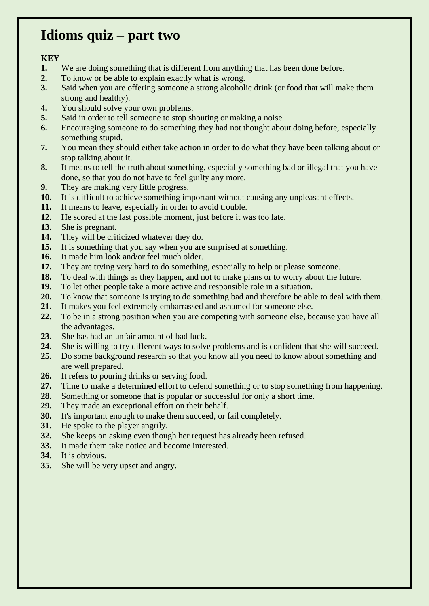#### **Idioms quiz – part two**

- **1.** We are doing something that is different from anything that has been done before.
- **2.** To know or be able to explain exactly what is wrong.
- **3.** Said when you are offering someone a strong alcoholic drink (or food that will make them strong and healthy).
- **4.** You should solve your own problems.
- **5.** Said in order to tell someone to stop shouting or making a noise.
- **6.** Encouraging someone to do something they had not thought about doing before, especially something stupid.
- **7.** You mean they should either take action in order to do what they have been talking about or stop talking about it.
- **8.** It means to tell the truth about something, especially something bad or illegal that you have done, so that you do not have to feel guilty any more.
- **9.** They are making very little progress.
- **10.** It is difficult to achieve something important without causing any unpleasant effects.
- **11.** It means to leave, especially in order to avoid trouble.
- **12.** He scored at the last possible moment, just before it was too late.
- **13.** She is pregnant.
- **14.** They will be criticized whatever they do.
- **15.** It is something that you say when you are surprised at something.
- **16.** It made him look and/or feel much older.
- **17.** They are trying very hard to do something, especially to help or please someone.
- **18.** To deal with things as they happen, and not to make plans or to worry about the future.
- **19.** To let other people take a more active and responsible role in a situation.
- **20.** To know that someone is trying to do something bad and therefore be able to deal with them.
- **21.** It makes you feel extremely embarrassed and ashamed for someone else.
- **22.** To be in a strong position when you are competing with someone else, because you have all the advantages.
- **23.** She has had an unfair amount of bad luck.
- **24.** She is willing to try different ways to solve problems and is confident that she will succeed.
- **25.** Do some background research so that you know all you need to know about something and are well prepared.
- **26.** It refers to pouring drinks or serving food.
- **27.** Time to make a determined effort to defend something or to stop something from happening.
- **28.** Something or someone that is popular or successful for only a short time.
- **29.** They made an exceptional effort on their behalf.
- **30.** It's important enough to make them succeed, or fail completely.
- **31.** He spoke to the player angrily.
- **32.** She keeps on asking even though her request has already been refused.
- **33.** It made them take notice and become interested.
- **34.** It is obvious.
- **35.** She will be very upset and angry.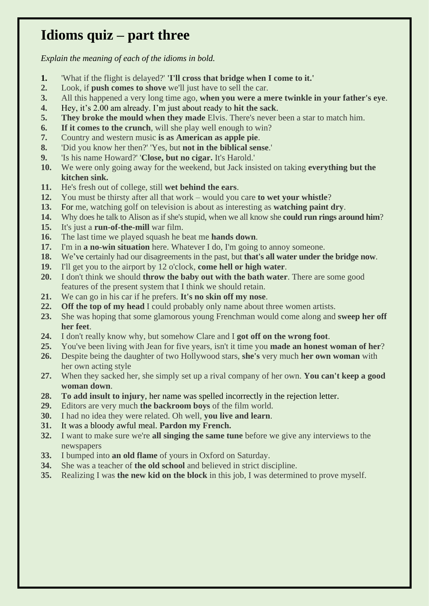### **Idioms quiz – part three**

*Explain the meaning of each of the idioms in bold.* 

- **1.** 'What if the flight is delayed?' **'I'll cross that bridge when I come to it.'**
- **2.** Look, if **push comes to shove** we'll just have to sell the car.
- **3.** All this happened a very long time ago, **when you were a mere twinkle in your father's eye**.
- **4.** Hey, it's 2.00 am already. I'm just about ready to **hit the sack**.
- **5. They broke the mould when they made** Elvis. There's never been a star to match him.
- **6. If it comes to the crunch**, will she play well enough to win?
- **7.** Country and western music **is as American as apple pie**.
- **8.** 'Did you know her then?' 'Yes, but **not in the biblical sense**.'
- **9.** 'Is his name Howard?' '**Close, but no cigar.** It's Harold.'
- **10.** We were only going away for the weekend, but Jack insisted on taking **everything but the kitchen sink.**
- **11.** He's fresh out of college, still **wet behind the ears**.
- **12.** You must be thirsty after all that work would you care **to wet your whistle**?
- **13.** For me, watching golf on television is about as interesting as **watching paint dry**.
- **14.** Why does he talk to Alison as if she's stupid, when we all know she **could run rings around him**?
- **15.** It's just a **run-of-the-mill** war film.
- **16.** The last time we played squash he beat me **hands down**.
- **17.** I'm in **a no-win situation** here. Whatever I do, I'm going to annoy someone.
- **18.** We've certainly had our disagreements in the past, but **that's all water under the bridge now**.
- **19.** I'll get you to the airport by 12 o'clock, **come hell or high water**.
- **20.** I don't think we should **throw the baby out with the bath water**. There are some good features of the present system that I think we should retain.
- **21.** We can go in his car if he prefers. **It's no skin off my nose**.
- **22. Off the top of my head** I could probably only name about three women artists.
- **23.** She was hoping that some glamorous young Frenchman would come along and **sweep her off her feet**.
- **24.** I don't really know why, but somehow Clare and I **got off on the wrong foot**.
- **25.** You've been living with Jean for five years, isn't it time you **made an honest woman of her**?
- **26.** Despite being the daughter of two Hollywood stars, **she's** very much **her own woman** with her own acting style
- **27.** When they sacked her, she simply set up a rival company of her own. **You can't keep a good woman down**.
- **28. To add insult to injury**, her name was spelled incorrectly in the rejection letter.
- **29.** Editors are very much **the backroom boys** of the film world.
- **30.** I had no idea they were related. Oh well, **you live and learn**.
- **31.** It was a bloody awful meal. **Pardon my French.**
- **32.** I want to make sure we're **all singing the same tune** before we give any interviews to the newspapers
- **33.** I bumped into **an old flame** of yours in Oxford on Saturday.
- **34.** She was a teacher of **the old school** and believed in strict discipline.
- **35.** Realizing I was **the new kid on the block** in this job, I was determined to prove myself.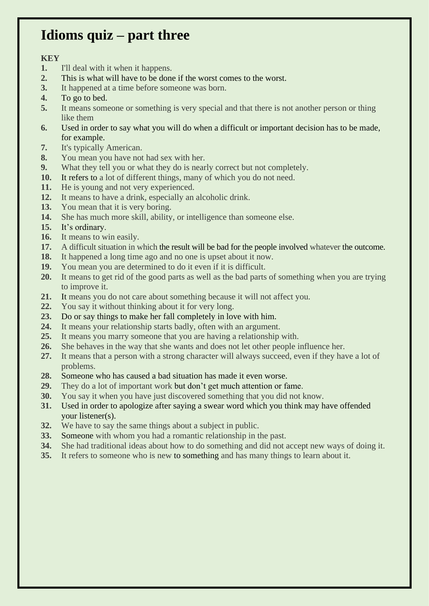### **Idioms quiz – part three**

- **1.** I'll deal with it when it happens.
- **2.** This is what will have to be done if the worst comes to the worst.
- **3.** It happened at a time before someone was born.
- **4.** To go to bed.
- **5.** It means someone or something is very special and that there is not another person or thing like them
- **6.** Used in order to say what you will do when a difficult or important decision has to be made, for example.
- **7.** It's typically American.
- **8.** You mean you have not had sex with her.
- **9.** What they tell you or what they do is nearly correct but not completely.
- **10.** It refers to a lot of different things, many of which you do not need.
- **11.** He is young and not very experienced.
- **12.** It means to have a drink, especially an alcoholic drink.
- **13.** You mean that it is very boring.
- **14.** She has much more skill, ability, or intelligence than someone else.
- **15.** It's ordinary.
- **16.** It means to win easily.
- **17.** A difficult situation in which the result will be bad for the people involved whatever the outcome.
- **18.** It happened a long time ago and no one is upset about it now.
- **19.** You mean you are determined to do it even if it is difficult.
- **20.** It means to get rid of the good parts as well as the bad parts of something when you are trying to improve it.
- **21.** It means you do not care about something because it will not affect you.
- **22.** You say it without thinking about it for very long.
- **23.** Do or say things to make her fall completely in love with him.
- **24.** It means your relationship starts badly, often with an argument.
- **25.** It means you marry someone that you are having a relationship with.
- **26.** She behaves in the way that she wants and does not let other people influence her.
- **27.** It means that a person with a strong character will always succeed, even if they have a lot of problems.
- **28.** Someone who has caused a bad situation has made it even worse.
- **29.** They do a lot of important work but don't get much attention or fame.
- **30.** You say it when you have just discovered something that you did not know.
- **31.** Used in order to apologize after saying a swear word which you think may have offended your listener(s).
- **32.** We have to say the same things about a subject in public.
- **33.** Someone with whom you had a romantic relationship in the past.
- **34.** She had traditional ideas about how to do something and did not accept new ways of doing it.
- **35.** It refers to someone who is new to something and has many things to learn about it.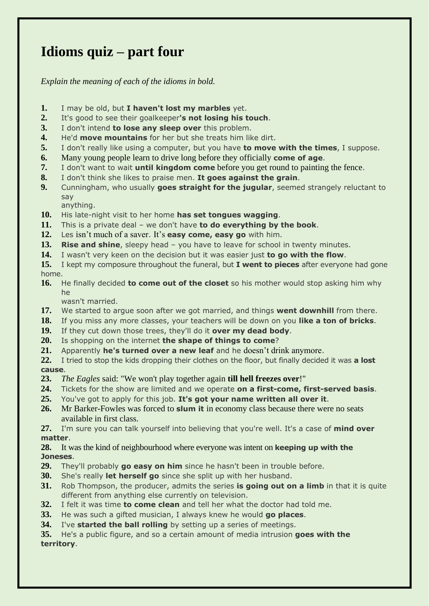# **Idioms quiz – part four**

*Explain the meaning of each of the idioms in bold.* 

- **1.** I may be old, but **I haven't lost my marbles** yet.
- **2.** It's good to see their goalkeeper**'s not losing his touch**.
- **3.** I don't intend **to lose any sleep over** this problem.
- **4.** He'd **move mountains** for her but she treats him like dirt.
- **5.** I don't really like using a computer, but you have **to move with the times**, I suppose.
- **6.** Many young people learn to drive long before they officially **come of age**.
- **7.** I don't want to wait **until kingdom come** before you get round to painting the fence.
- **8.** I don't think she likes to praise men. **It goes against the grain**.
- **9.** Cunningham, who usually **goes straight for the jugular**, seemed strangely reluctant to say
- anything. **10.** His late-night visit to her home **has set tongues wagging**.
- **11.** This is a private deal we don't have **to do everything by the book**.
- **12.** Les isn't much of a saver. It's **easy come, easy go** with him.
- **13. Rise and shine**, sleepy head you have to leave for school in twenty minutes.
- **14.** I wasn't very keen on the decision but it was easier just **to go with the flow**.
- **15.** I kept my composure throughout the funeral, but **I went to pieces** after everyone had gone home.
- **16.** He finally decided **to come out of the closet** so his mother would stop asking him why he

wasn't married.

- **17.** We started to argue soon after we got married, and things **went downhill** from there.
- **18.** If you miss any more classes, your teachers will be down on you **like a ton of bricks**.
- **19.** If they cut down those trees, they'll do it **over my dead body**.
- **20.** Is shopping on the internet **the shape of things to come**?
- **21.** Apparently **he's turned over a new leaf** and he doesn't drink anymore.
- **22.** I tried to stop the kids dropping their clothes on the floor, but finally decided it was **a lost cause**.
- **23.** *The Eagles* said: "We won't play together again **till hell freezes over**!"
- **24.** Tickets for the show are limited and we operate **on a first-come, first-served basis**.
- **25.** You've got to apply for this job. **It's got your name written all over it**.
- **26.** Mr Barker-Fowles was forced to **slum it** in economy class because there were no seats available in first class.

**27.** I'm sure you can talk yourself into believing that you're well. It's a case of **mind over matter**.

- **28.** It was the kind of neighbourhood where everyone was intent on **keeping up with the Joneses**.
- **29.** They'll probably **go easy on him** since he hasn't been in trouble before.
- **30.** She's really **let herself go** since she split up with her husband.
- **31.** Rob Thompson, the producer, admits the series **is going out on a limb** in that it is quite different from anything else currently on television.
- **32.** I felt it was time **to come clean** and tell her what the doctor had told me.
- **33.** He was such a gifted musician, I always knew he would **go places**.
- **34.** I've **started the ball rolling** by setting up a series of meetings.

**35.** He's a public figure, and so a certain amount of media intrusion **goes with the territory**.